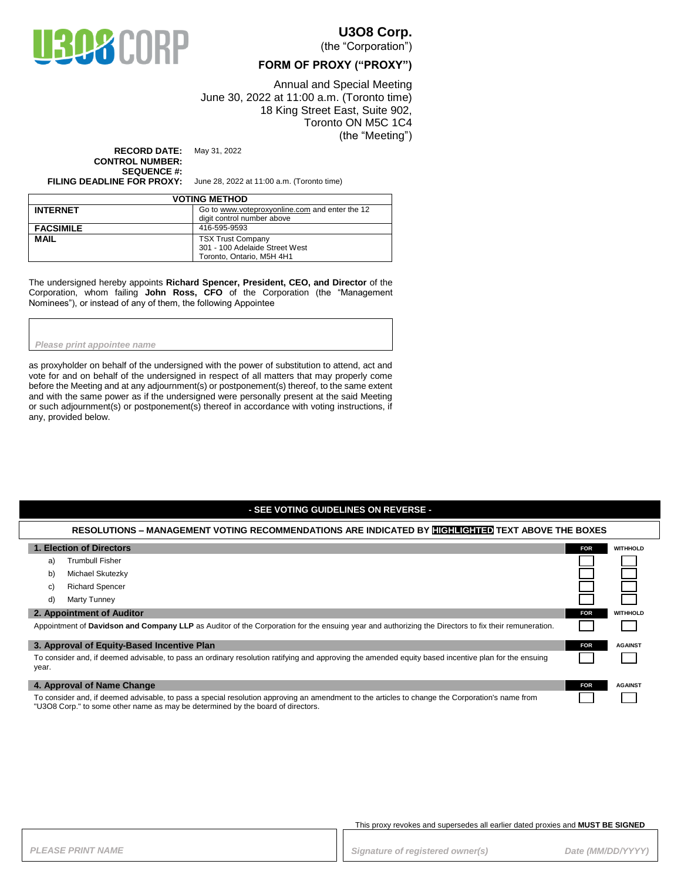

### **U3O8 Corp.**

(the "Corporation")

### **FORM OF PROXY ("PROXY")**

Annual and Special Meeting June 30, 2022 at 11:00 a.m. (Toronto time) 18 King Street East, Suite 902, Toronto ON M5C 1C4 (the "Meeting")

**RECORD DATE:** May 31, 2022 **CONTROL NUMBER: SEQUENCE #:**

**FILING DEADLINE FOR PROXY:** June 28, 2022 at 11:00 a.m. (Toronto time)

| <b>VOTING METHOD</b> |                                                |  |
|----------------------|------------------------------------------------|--|
| <b>INTERNET</b>      | Go to www.voteproxyonline.com and enter the 12 |  |
|                      | digit control number above                     |  |
| <b>FACSIMILE</b>     | 416-595-9593                                   |  |
| <b>MAIL</b>          | <b>TSX Trust Company</b>                       |  |
|                      | 301 - 100 Adelaide Street West                 |  |
|                      | Toronto, Ontario, M5H 4H1                      |  |

The undersigned hereby appoints **Richard Spencer, President, CEO, and Director** of the Corporation, whom failing **John Ross, CFO** of the Corporation (the "Management Nominees"), or instead of any of them, the following Appointee

#### *Please print appointee name*

as proxyholder on behalf of the undersigned with the power of substitution to attend, act and vote for and on behalf of the undersigned in respect of all matters that may properly come before the Meeting and at any adjournment(s) or postponement(s) thereof, to the same extent and with the same power as if the undersigned were personally present at the said Meeting or such adjournment(s) or postponement(s) thereof in accordance with voting instructions, if any, provided below.

### **- SEE VOTING GUIDELINES ON REVERSE -**

#### **RESOLUTIONS – MANAGEMENT VOTING RECOMMENDATIONS ARE INDICATED BY HIGHLIGHTED TEXT ABOVE THE BOXES**

| 1. Election of Directors                                                                                                                                                                                                           |                        | <b>FOR</b> | <b>WITHHOLD</b> |
|------------------------------------------------------------------------------------------------------------------------------------------------------------------------------------------------------------------------------------|------------------------|------------|-----------------|
| a)                                                                                                                                                                                                                                 | <b>Trumbull Fisher</b> |            |                 |
| b)                                                                                                                                                                                                                                 | Michael Skutezky       |            |                 |
| C)                                                                                                                                                                                                                                 | <b>Richard Spencer</b> |            |                 |
| d)                                                                                                                                                                                                                                 | Marty Tunney           |            |                 |
| 2. Appointment of Auditor                                                                                                                                                                                                          |                        | <b>FOR</b> | <b>WITHHOLD</b> |
| Appointment of Davidson and Company LLP as Auditor of the Corporation for the ensuing year and authorizing the Directors to fix their remuneration.                                                                                |                        |            |                 |
| 3. Approval of Equity-Based Incentive Plan                                                                                                                                                                                         |                        | <b>FOR</b> | <b>AGAINST</b>  |
| To consider and, if deemed advisable, to pass an ordinary resolution ratifying and approving the amended equity based incentive plan for the ensuing<br>year.                                                                      |                        |            |                 |
| 4. Approval of Name Change                                                                                                                                                                                                         |                        | <b>FOR</b> | <b>AGAINST</b>  |
| To consider and, if deemed advisable, to pass a special resolution approving an amendment to the articles to change the Corporation's name from<br>"U3O8 Corp." to some other name as may be determined by the board of directors. |                        |            |                 |

#### This proxy revokes and supersedes all earlier dated proxies and **MUST BE SIGNED**